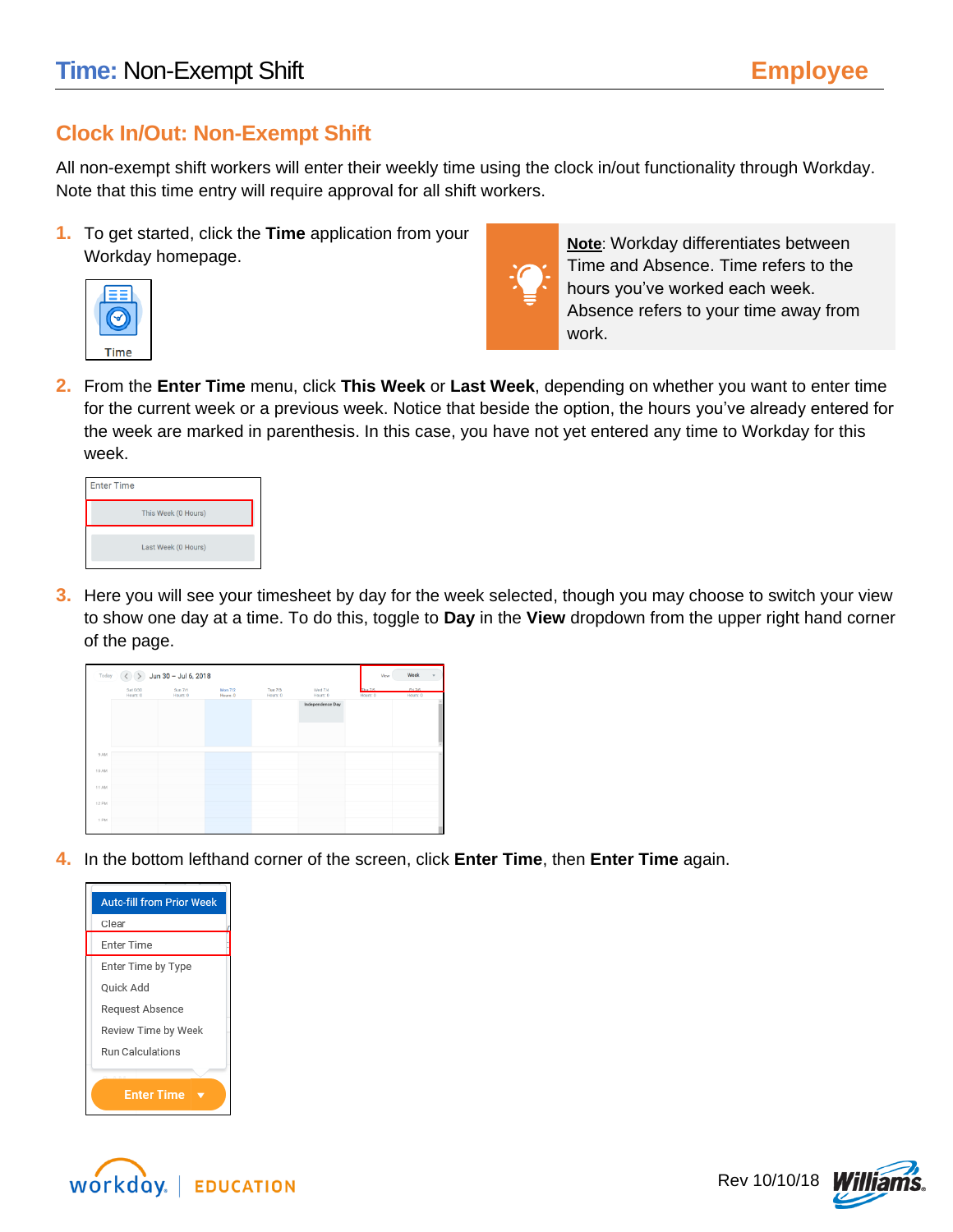# **Clock In/Out: Non-Exempt Shift**

All non-exempt shift workers will enter their weekly time using the clock in/out functionality through Workday. Note that this time entry will require approval for all shift workers.

**1.** To get started, click the **Time** application from your Workday homepage.





**Note**: Workday differentiates between Time and Absence. Time refers to the hours you've worked each week. Absence refers to your time away from work.

**2.** From the **Enter Time** menu, click **This Week** or **Last Week**, depending on whether you want to enter time for the current week or a previous week. Notice that beside the option, the hours you've already entered for the week are marked in parenthesis. In this case, you have not yet entered any time to Workday for this week.

| <b>Enter Time</b> |                     |
|-------------------|---------------------|
|                   | This Week (0 Hours) |
|                   | Last Week (0 Hours) |
|                   |                     |

**3.** Here you will see your timesheet by day for the week selected, though you may choose to switch your view to show one day at a time. To do this, toggle to **Day** in the **View** dropdown from the upper right hand corner of the page.

|       |                      | Today $\left(\begin{array}{cc} \curvearrowleft \end{array}\right)$ Jun 30 - Jul 6, 2018 |                            |                     |                     | View                 | Week                |  |
|-------|----------------------|-----------------------------------------------------------------------------------------|----------------------------|---------------------|---------------------|----------------------|---------------------|--|
|       | Sat 6/30<br>Hours: 0 | Sun 7/1<br>Hours: 0                                                                     | <b>Mon 7/2</b><br>Hours: 0 | Tue 7/3<br>Hours: 0 | Wed 7/4<br>Hours: 0 | Thur 775<br>Hours: 0 | Fri 7.6<br>Hours: 0 |  |
|       |                      |                                                                                         |                            |                     | Independence Day    |                      |                     |  |
|       |                      |                                                                                         |                            |                     |                     |                      |                     |  |
|       |                      |                                                                                         |                            |                     |                     |                      |                     |  |
| 9 AM  |                      |                                                                                         |                            |                     |                     |                      |                     |  |
| 10 AM |                      |                                                                                         |                            |                     |                     |                      |                     |  |
| 11 AM |                      |                                                                                         |                            |                     |                     |                      |                     |  |
| 12 PM |                      |                                                                                         |                            |                     |                     |                      |                     |  |
|       |                      |                                                                                         |                            |                     |                     |                      |                     |  |
| 1 PM  |                      |                                                                                         |                            |                     |                     |                      |                     |  |

**4.** In the bottom lefthand corner of the screen, click **Enter Time**, then **Enter Time** again.





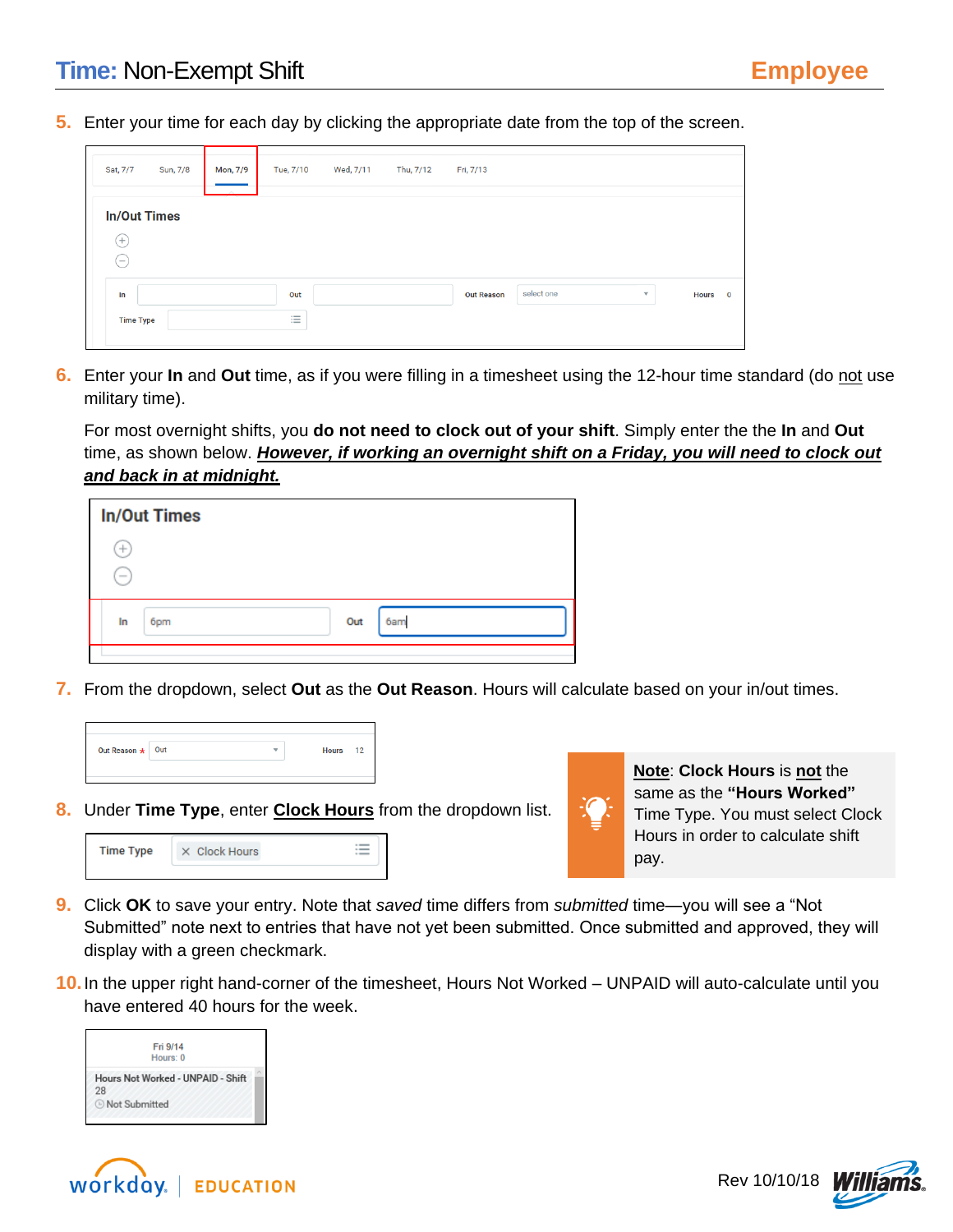**5.** Enter your time for each day by clicking the appropriate date from the top of the screen.

| Sat, 7/7                                             | Sun, 7/8 | Mon, 7/9 | Tue, 7/10 | Wed, 7/11 | Thu, 7/12 | Fri, 7/13         |            |              |         |
|------------------------------------------------------|----------|----------|-----------|-----------|-----------|-------------------|------------|--------------|---------|
| <b>In/Out Times</b><br>$^{(+)}$<br>$\qquad \qquad -$ |          |          |           |           |           |                   |            |              |         |
| In<br><b>Time Type</b>                               |          |          | Out<br>三  |           |           | <b>Out Reason</b> | select one | $\mathbf{v}$ | Hours 0 |

**6.** Enter your **In** and **Out** time, as if you were filling in a timesheet using the 12-hour time standard (do not use military time).

For most overnight shifts, you **do not need to clock out of your shift**. Simply enter the the **In** and **Out** time, as shown below. *However, if working an overnight shift on a Friday, you will need to clock out and back in at midnight.* 

|                  | <b>In/Out Times</b> |     |     |  |
|------------------|---------------------|-----|-----|--|
| $^{+}$<br>$\sim$ |                     |     |     |  |
| In               | 6pm                 | Out | 6am |  |

**7.** From the dropdown, select **Out** as the **Out Reason**. Hours will calculate based on your in/out times.

| Out Reason $\star$ Out |  | <b>Hours</b><br>12 |
|------------------------|--|--------------------|
|                        |  |                    |

**8.** Under **Time Type**, enter **Clock Hours** from the dropdown list.





**Note**: **Clock Hours** is **not** the same as the **"Hours Worked"**  Time Type. You must select Clock Hours in order to calculate shift pay.

- **9.** Click **OK** to save your entry. Note that *saved* time differs from *submitted* time—you will see a "Not Submitted" note next to entries that have not yet been submitted. Once submitted and approved, they will display with a green checkmark.
- **10.**In the upper right hand-corner of the timesheet, Hours Not Worked UNPAID will auto-calculate until you have entered 40 hours for the week.





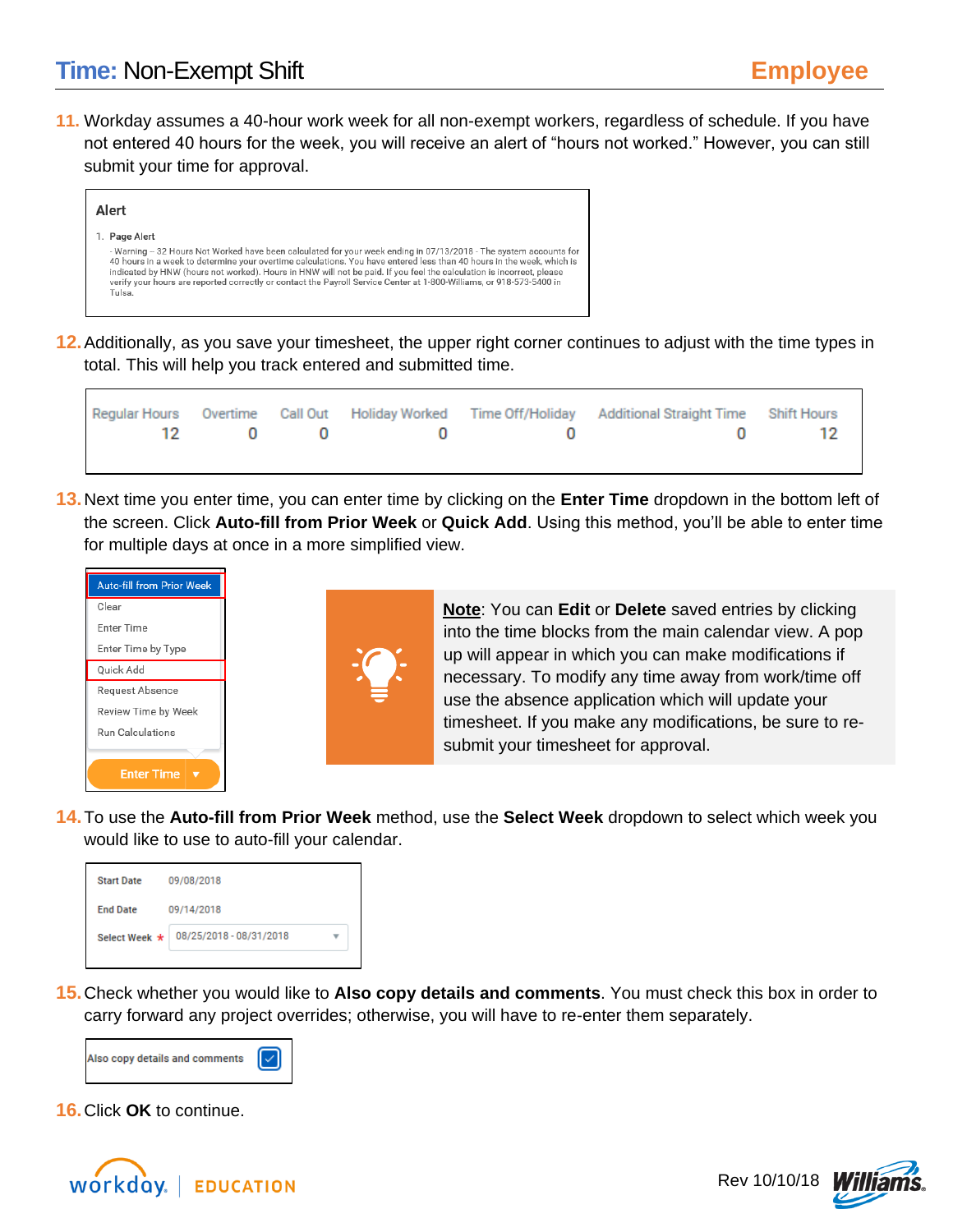**11.** Workday assumes a 40-hour work week for all non-exempt workers, regardless of schedule. If you have not entered 40 hours for the week, you will receive an alert of "hours not worked." However, you can still submit your time for approval.

| Alert                                                                                                                                                                                                                                                                                                                                                                                                                                                                                                                  |
|------------------------------------------------------------------------------------------------------------------------------------------------------------------------------------------------------------------------------------------------------------------------------------------------------------------------------------------------------------------------------------------------------------------------------------------------------------------------------------------------------------------------|
| 1. Page Alert<br>- Warning -- 32 Hours Not Worked have been calculated for your week ending in 07/13/2018 - The system accounts for<br>40 hours in a week to determine your overtime calculations. You have entered less than 40 hours in the week, which is<br>indicated by HNW (hours not worked). Hours in HNW will not be paid. If you feel the calculation is incorrect, please<br>verify your hours are reported correctly or contact the Payroll Service Center at 1-800-Williams, or 918-573-5400 in<br>Tulsa. |

**12.**Additionally, as you save your timesheet, the upper right corner continues to adjust with the time types in total. This will help you track entered and submitted time.

|  |  | Regular Hours Overtime Call Out Holiday Worked Time Off/Holiday Additional Straight Time Shift Hours |  |
|--|--|------------------------------------------------------------------------------------------------------|--|
|  |  | $12 \qquad 0 \qquad 0 \qquad 0 \qquad 0$<br>$\blacksquare$                                           |  |
|  |  |                                                                                                      |  |

**13.**Next time you enter time, you can enter time by clicking on the **Enter Time** dropdown in the bottom left of the screen. Click **Auto-fill from Prior Week** or **Quick Add**. Using this method, you'll be able to enter time for multiple days at once in a more simplified view.



**Note**: You can **Edit** or **Delete** saved entries by clicking into the time blocks from the main calendar view. A pop up will appear in which you can make modifications if necessary. To modify any time away from work/time off use the absence application which will update your timesheet. If you make any modifications, be sure to resubmit your timesheet for approval.

**14.**To use the **Auto-fill from Prior Week** method, use the **Select Week** dropdown to select which week you would like to use to auto-fill your calendar.

| <b>Start Date</b> | 09/08/2018              |  |  |  |
|-------------------|-------------------------|--|--|--|
| <b>End Date</b>   | 09/14/2018              |  |  |  |
| Select Week *     | 08/25/2018 - 08/31/2018 |  |  |  |
|                   |                         |  |  |  |

**15.**Check whether you would like to **Also copy details and comments**. You must check this box in order to carry forward any project overrides; otherwise, you will have to re-enter them separately.



**16.**Click **OK** to continue.



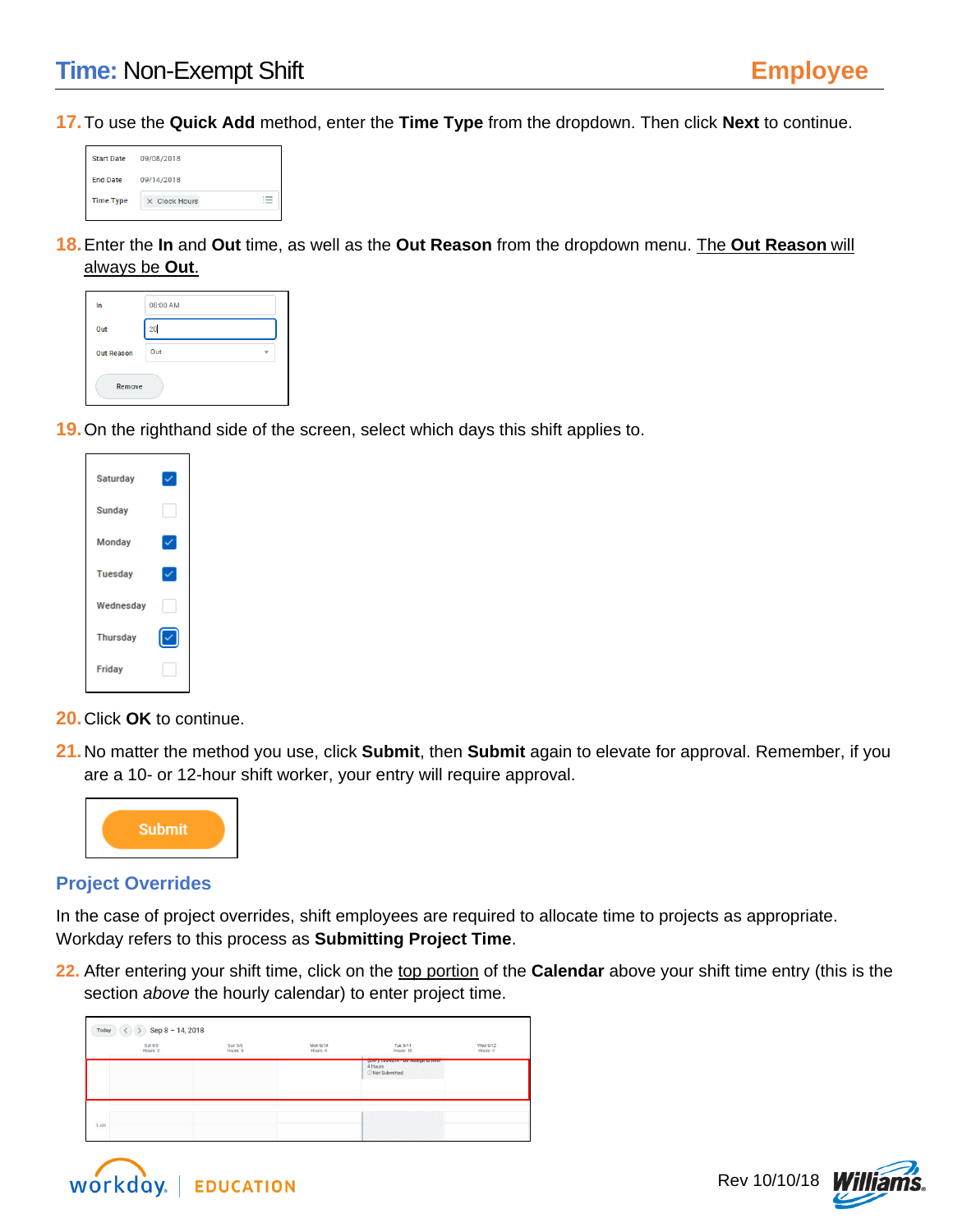**17.**To use the **Quick Add** method, enter the **Time Type** from the dropdown. Then click **Next** to continue.

| 09/08/2018    |                       |  |  |  |
|---------------|-----------------------|--|--|--|
| 09/14/2018    |                       |  |  |  |
| X Clock Hours | $\mathrel{\mathop:}=$ |  |  |  |
|               |                       |  |  |  |

**18.**Enter the **In** and **Out** time, as well as the **Out Reason** from the dropdown menu. The **Out Reason** will always be **Out**.

| In                | 08:00 AM |  |
|-------------------|----------|--|
| Out               | 20       |  |
| <b>Out Reason</b> | Out      |  |
| Remove            |          |  |

**19.**On the righthand side of the screen, select which days this shift applies to.

| Saturday        |  |
|-----------------|--|
| Sunday          |  |
| <b>Monday</b>   |  |
| <b>Tuesday</b>  |  |
| Wednesday       |  |
| <b>Thursday</b> |  |
| <b>Friday</b>   |  |
|                 |  |

**20.**Click **OK** to continue.

**21.**No matter the method you use, click **Submit**, then **Submit** again to elevate for approval. Remember, if you are a 10- or 12-hour shift worker, your entry will require approval.



#### **Project Overrides**

In the case of project overrides, shift employees are required to allocate time to projects as appropriate. Workday refers to this process as **Submitting Project Time**.

**22.** After entering your shift time, click on the top portion of the **Calendar** above your shift time entry (this is the section *above* the hourly calendar) to enter project time.

| $\langle$ > Sep 8 - 14, 2018<br>Today |                                                                                                                                                                                                                               |                                          |                                                                                 |                                         |
|---------------------------------------|-------------------------------------------------------------------------------------------------------------------------------------------------------------------------------------------------------------------------------|------------------------------------------|---------------------------------------------------------------------------------|-----------------------------------------|
| Sat 9/8<br>Hours 0                    | <b>CONTRACTOR</b><br>Sun 9/9<br>Hours: 0                                                                                                                                                                                      | <b>SAME PROPE</b><br>Mon 9/10<br>Hours 6 | <b>CARD NOTES</b><br>Tue 9/11<br>Hours: 10                                      | <b>AND CASA</b><br>Wed 9/12<br>Hours: 0 |
|                                       | the control of the control of the control of the control of the control of the control of the control of the control of the control of the control of the control of the control of the control of the control of the control |                                          | first 1 inners as a new seeding in taxes<br>4 Hours<br>Not Submitted<br>,,,,,,, |                                         |
| MA E<br>- - -                         |                                                                                                                                                                                                                               |                                          | -------<br>m<br>,,,,,,,,,,,,,,,,,,,,,,,,,,                                      |                                         |



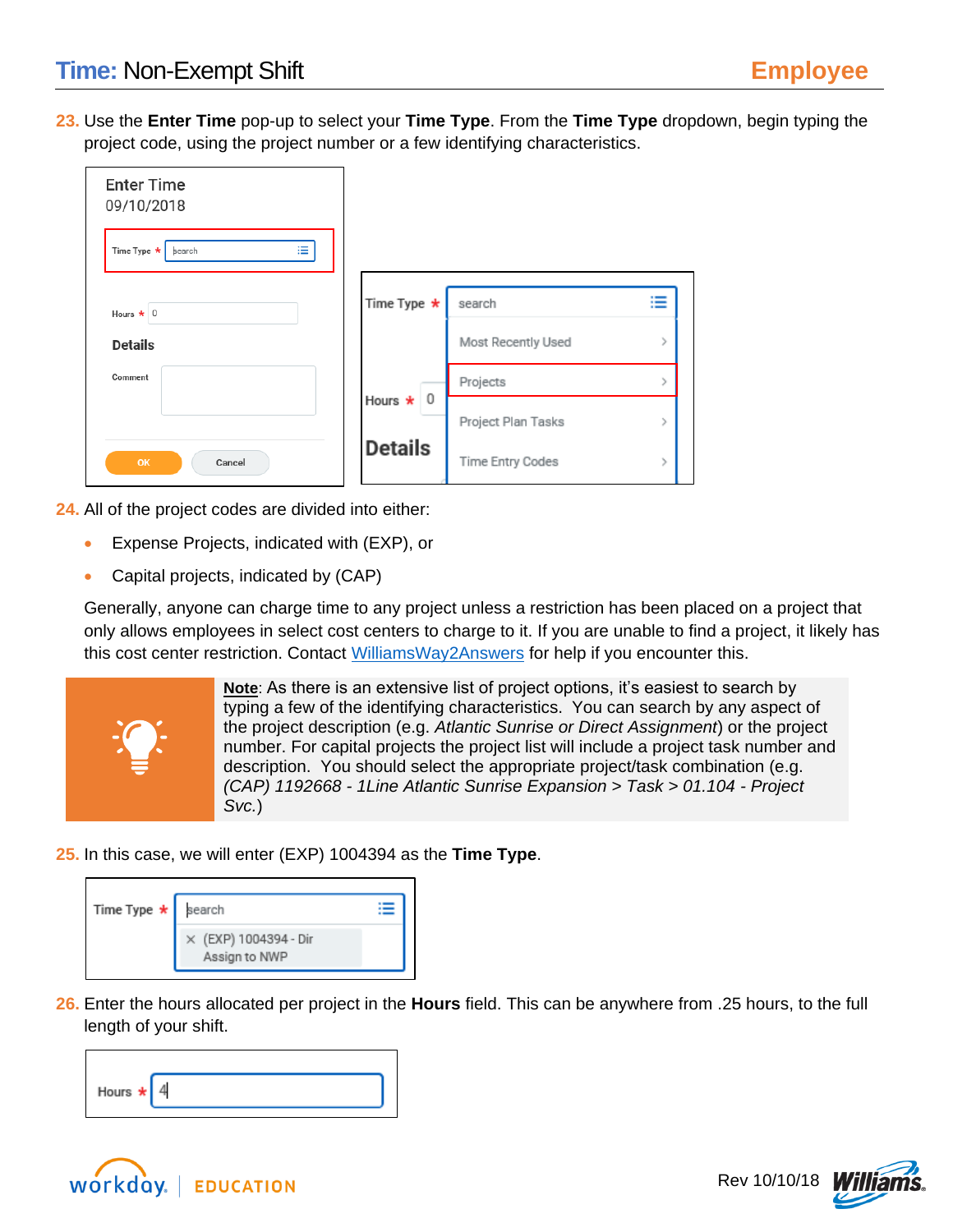**23.** Use the **Enter Time** pop-up to select your **Time Type**. From the **Time Type** dropdown, begin typing the project code, using the project number or a few identifying characteristics.

| <b>Enter Time</b><br>09/10/2018 |                   |                    |                                                      |
|---------------------------------|-------------------|--------------------|------------------------------------------------------|
| 津<br>Time Type *<br>search      |                   |                    |                                                      |
| Hours $\star$ 0                 | Time Type $\star$ | search             | $\overline{\phantom{0}}$<br>$\overline{\phantom{a}}$ |
| <b>Details</b>                  |                   | Most Recently Used |                                                      |
| Comment                         |                   | Projects           |                                                      |
|                                 | Hours $\star$ 0   | Project Plan Tasks |                                                      |
| <b>OK</b><br>Cancel             | <b>Details</b>    | Time Entry Codes   |                                                      |

**24.** All of the project codes are divided into either:

- Expense Projects, indicated with (EXP), or
- Capital projects, indicated by (CAP)

Generally, anyone can charge time to any project unless a restriction has been placed on a project that only allows employees in select cost centers to charge to it. If you are unable to find a project, it likely has this cost center restriction. Contact [WilliamsWay2Answers](mailto:WilliamsWay2Answers@Williams.com) for help if you encounter this.



**Note**: As there is an extensive list of project options, it's easiest to search by typing a few of the identifying characteristics. You can search by any aspect of the project description (e.g. *Atlantic Sunrise or Direct Assignment*) or the project number. For capital projects the project list will include a project task number and description. You should select the appropriate project/task combination (e.g. *(CAP) 1192668 - 1Line Atlantic Sunrise Expansion > Task > 01.104 - Project Svc.*)

**25.** In this case, we will enter (EXP) 1004394 as the **Time Type**.

| Time Type $\star$ search |                                        |  |
|--------------------------|----------------------------------------|--|
|                          | X (EXP) 1004394 - Dir<br>Assign to NWP |  |

**26.** Enter the hours allocated per project in the **Hours** field. This can be anywhere from .25 hours, to the full length of your shift.

| Hours $\star$ 4 |  |  |
|-----------------|--|--|



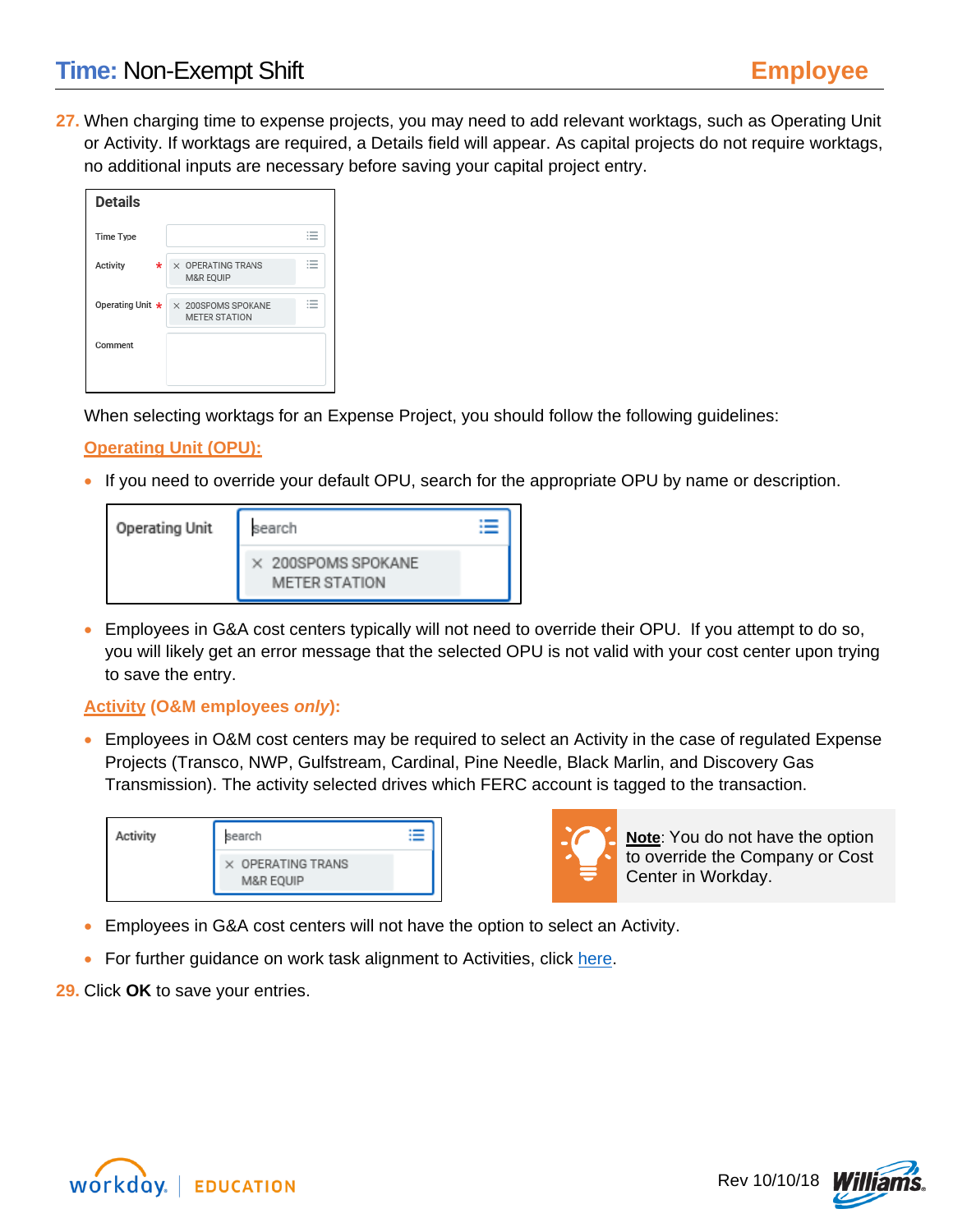**27.** When charging time to expense projects, you may need to add relevant worktags, such as Operating Unit or Activity. If worktags are required, a Details field will appear. As capital projects do not require worktags, no additional inputs are necessary before saving your capital project entry.

| <b>Details</b>   |                                                   |                                                                   |
|------------------|---------------------------------------------------|-------------------------------------------------------------------|
| Time Type        |                                                   | $\cdot$ =<br>$\overline{\phantom{a}}$<br>$\overline{\phantom{a}}$ |
| Activity<br>*    | X OPERATING TRANS<br>M&R EQUIP                    | $\overline{\phantom{a}}$<br>$\overline{\phantom{a}}$              |
| Operating Unit * | $\times$ 200SPOMS SPOKANE<br><b>METER STATION</b> | $\sim$<br>-<br>$\cdots$                                           |
| Comment          |                                                   |                                                                   |
|                  |                                                   |                                                                   |

When selecting worktags for an Expense Project, you should follow the following guidelines:

### **Operating Unit (OPU):**

• If you need to override your default OPU, search for the appropriate OPU by name or description.

| <b>Operating Unit</b> | search                                     |  |
|-----------------------|--------------------------------------------|--|
|                       | X 200SPOMS SPOKANE<br><b>METER STATION</b> |  |

• Employees in G&A cost centers typically will not need to override their OPU. If you attempt to do so, you will likely get an error message that the selected OPU is not valid with your cost center upon trying to save the entry.

### **Activity (O&M employees** *only***):**

• Employees in O&M cost centers may be required to select an Activity in the case of regulated Expense Projects (Transco, NWP, Gulfstream, Cardinal, Pine Needle, Black Marlin, and Discovery Gas Transmission). The activity selected drives which FERC account is tagged to the transaction.

| Activity | search                                           |  |
|----------|--------------------------------------------------|--|
|          | $\times$ OPERATING TRANS<br><b>M&amp;R EQUIP</b> |  |



**Note**: You do not have the option to override the Company or Cost Center in Workday.

- Employees in G&A cost centers will not have the option to select an Activity.
- For further guidance on work task alignment to Activities, click [here.](http://my.williams.com/depts/enterprise/ent_accounting/Pages/Account-Coding.aspx)
- **29.** Click **OK** to save your entries.



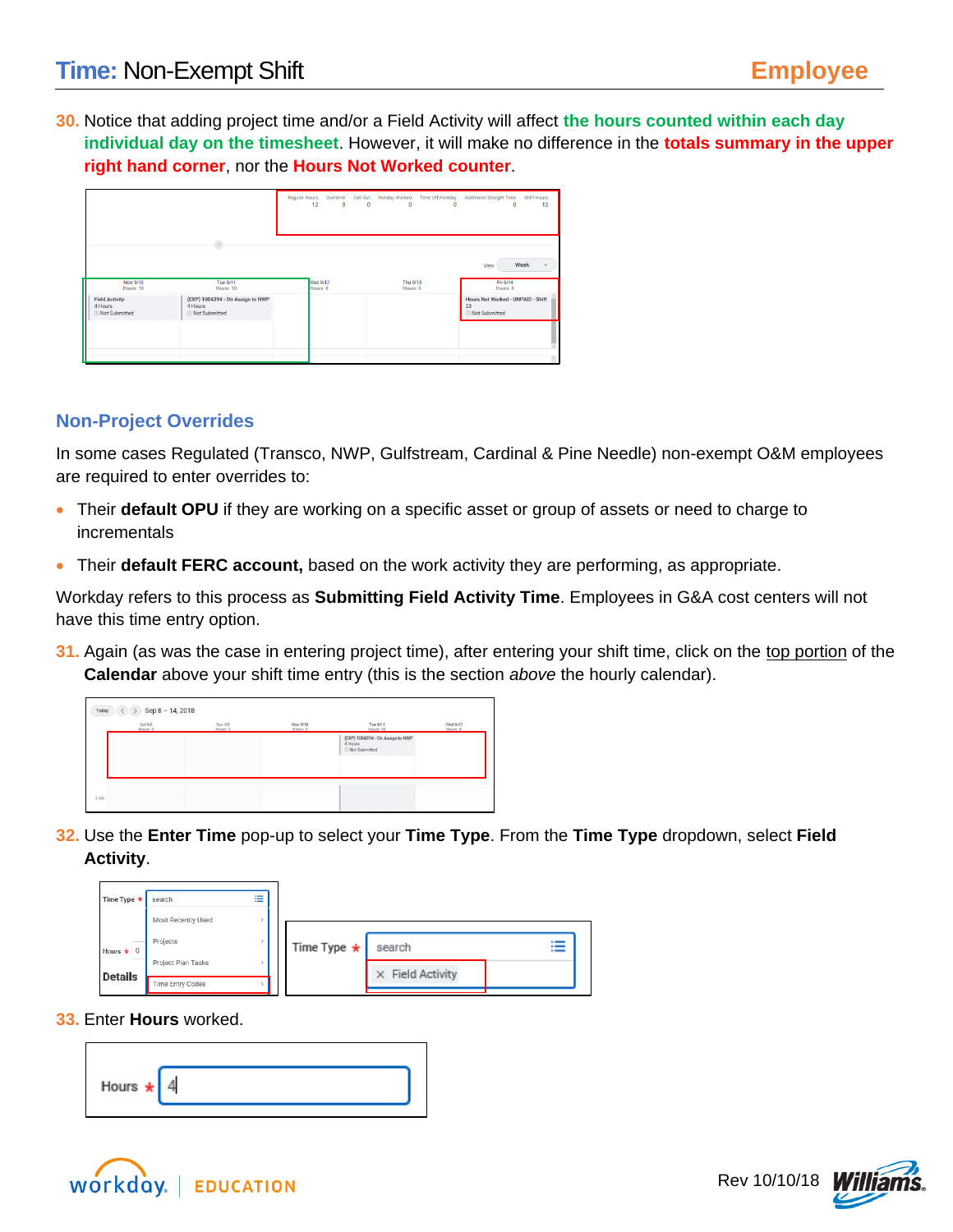**30.** Notice that adding project time and/or a Field Activity will affect **the hours counted within each day individual day on the timesheet**. However, it will make no difference in the **totals summary in the upper right hand corner**, nor the **Hours Not Worked counter**.

|                                                            |                                                                        | <b>Regular Hours</b><br>12  | $\bullet$ | $\mathbf{0}$ | Overtime Call Out Holiday Worked<br>$\mathbf{0}$ | <b>Time Off/Holiday</b><br>$\mathbf{0}$ | <b>Additional Straight Time</b><br>$\mathbf{0}$                 | <b>Shift Hours</b><br>12 |
|------------------------------------------------------------|------------------------------------------------------------------------|-----------------------------|-----------|--------------|--------------------------------------------------|-----------------------------------------|-----------------------------------------------------------------|--------------------------|
| <b>Mon 9/10</b><br>Hours: 10                               | $\widehat{\phantom{a}}$<br><b>Tue 9/11</b><br>Hours: 10                | <b>Ned 9/12</b><br>Hours: 0 |           |              | Thu 9/13<br>Hours: 0                             |                                         | View<br>Fri 9/14<br>Hours: 0                                    | Week                     |
| <b>Field Activity</b><br>4 Hours<br><b>E</b> Not Submitted | (EXP) 1004394 - Dir Assign to NWP<br>4 Hours<br><b>E</b> Not Submitted |                             |           |              |                                                  |                                         | Hours Not Worked - UNPAID - Shift<br>28<br><b>Not Submitted</b> |                          |

### **Non-Project Overrides**

In some cases Regulated (Transco, NWP, Gulfstream, Cardinal & Pine Needle) non-exempt O&M employees are required to enter overrides to:

- Their **default OPU** if they are working on a specific asset or group of assets or need to charge to incrementals
- Their **default FERC account,** based on the work activity they are performing, as appropriate.

Workday refers to this process as **Submitting Field Activity Time**. Employees in G&A cost centers will not have this time entry option.

**31.** Again (as was the case in entering project time), after entering your shift time, click on the top portion of the **Calendar** above your shift time entry (this is the section *above* the hourly calendar).

| Sat 9/8<br>Hours 0 | Sun 9/9<br>Hours: 0 | 0001 002<br>Mon 9/10<br>Hours 6 | Tue 9/11<br>Hours: 10                                                  | Wed 9/12<br>Hours: 0 |
|--------------------|---------------------|---------------------------------|------------------------------------------------------------------------|----------------------|
|                    |                     |                                 | (EXP) 1004394 - Dir Assign to NWP<br>4 Hours<br><b>O Not Submitted</b> |                      |
|                    |                     |                                 |                                                                        |                      |

**32.** Use the **Enter Time** pop-up to select your **Time Type**. From the **Time Type** dropdown, select **Field Activity**.

| Time Type *     | search             | 洼 |                   |                         |   |
|-----------------|--------------------|---|-------------------|-------------------------|---|
|                 | Most Recently Used |   |                   |                         |   |
| Hours $\star$ 0 | Projects           |   | Time Type $\star$ | search                  | ≔ |
| <b>Details</b>  | Project Plan Tasks |   |                   | $\times$ Field Activity |   |
|                 | Time Entry Codes   |   |                   |                         |   |

**33.** Enter **Hours** worked.





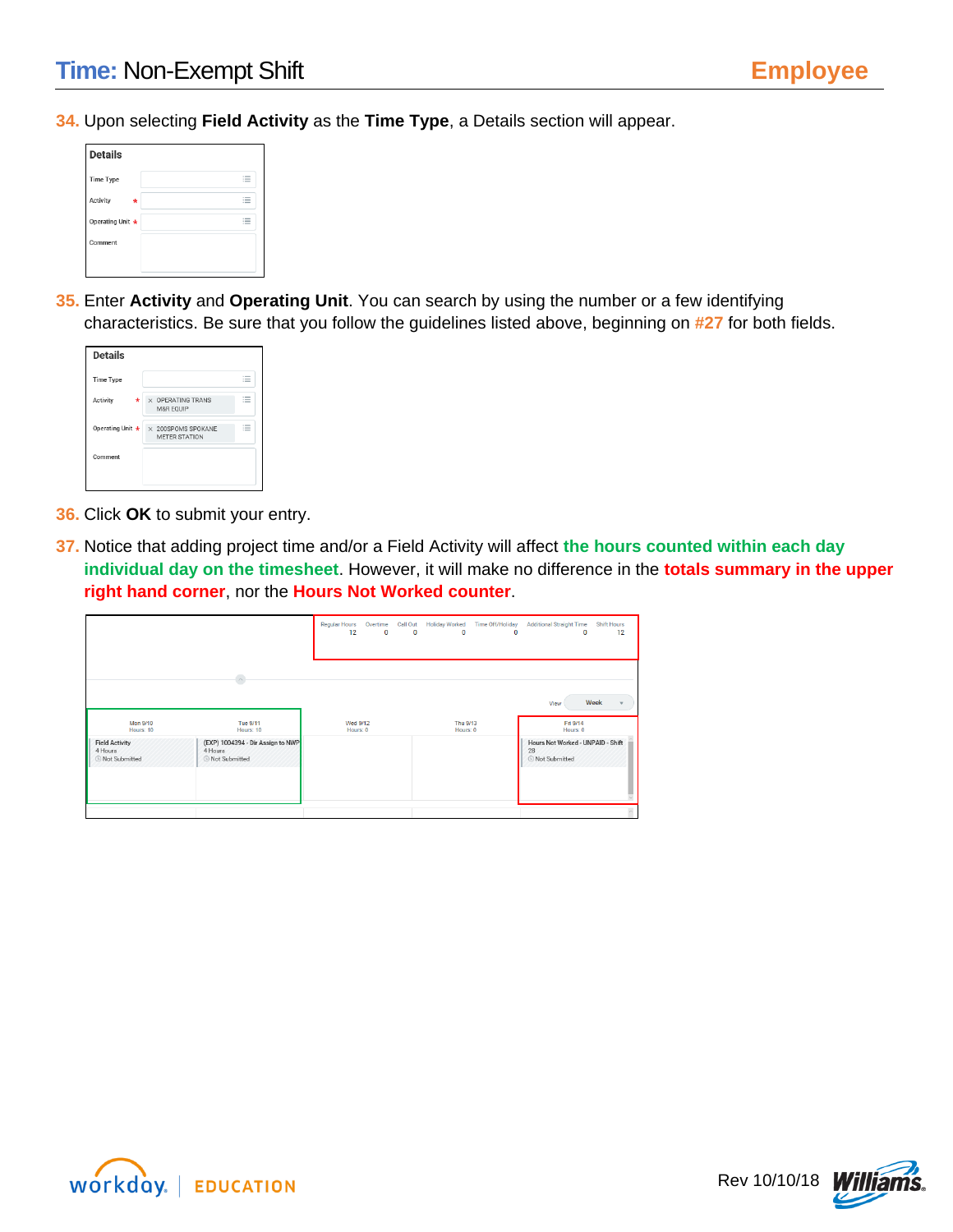**34.** Upon selecting **Field Activity** as the **Time Type**, a Details section will appear.

| <b>Details</b>   |   |                             |
|------------------|---|-----------------------------|
| <b>Time Type</b> |   | $1 - 1$<br>$1 - 1$<br>$1 -$ |
| Activity         | ÷ | $\sim$<br>$\sim$<br>$1 -$   |
| Operating Unit * |   | $\sim$<br>$1 - 1$<br>$1 -$  |
| Comment          |   |                             |
|                  |   |                             |

**35.** Enter **Activity** and **Operating Unit**. You can search by using the number or a few identifying characteristics. Be sure that you follow the guidelines listed above, beginning on **#27** for both fields.

| <b>Details</b>   |   |                                                   |                                        |
|------------------|---|---------------------------------------------------|----------------------------------------|
| <b>Time Type</b> |   |                                                   | $\overline{\phantom{a}}$<br>$\sim$ $-$ |
| Activity         | * | X OPERATING TRANS<br>M&R EQUIP                    | $\sim$<br>$-$                          |
| Operating Unit * |   | $\times$ 200SPOMS SPOKANE<br><b>METER STATION</b> | $\sim$                                 |
| Comment          |   |                                                   |                                        |
|                  |   |                                                   |                                        |

- **36.** Click **OK** to submit your entry.
- **37.** Notice that adding project time and/or a Field Activity will affect **the hours counted within each day individual day on the timesheet**. However, it will make no difference in the **totals summary in the upper right hand corner**, nor the **Hours Not Worked counter**.

|                                                     |                                                                        | <b>Regular Hours</b><br>12  | $\mathbf 0$ | $\mathbf 0$ | Overtime Call Out Holiday Worked<br>$\mathbf 0$ | Time Off/Holiday<br>$\mathbf 0$ | <b>Additional Straight Time</b><br>$\bullet$                      | <b>Shift Hours</b><br>12 |  |
|-----------------------------------------------------|------------------------------------------------------------------------|-----------------------------|-------------|-------------|-------------------------------------------------|---------------------------------|-------------------------------------------------------------------|--------------------------|--|
|                                                     | $\widehat{\phantom{a}}$                                                |                             |             |             |                                                 |                                 | View                                                              | Week                     |  |
| <b>Mon 9/10</b><br>Hours: 10                        | <b>Tue 9/11</b><br>Hours: 10                                           | <b>Wed 9/12</b><br>Hours: 0 |             |             | Thu 9/13<br>Hours: 0                            |                                 | Fri 9/14<br>Hours: 0                                              |                          |  |
| <b>Field Activity</b><br>4 Hours<br>© Not Submitted | (EXP) 1004394 - Dir Assign to NWP<br>4 Hours<br><b>O</b> Not Submitted |                             |             |             |                                                 |                                 | Hours Not Worked - UNPAID - Shift<br>28<br><b>O</b> Not Submitted |                          |  |